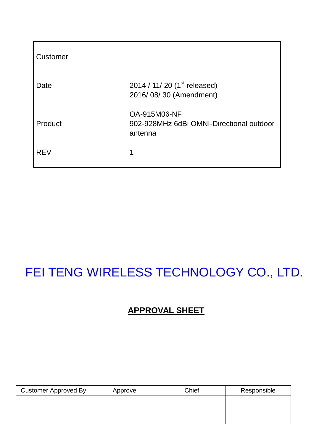| Customer   |                                                                            |
|------------|----------------------------------------------------------------------------|
| Date       | 2014 / 11/ 20 (1 <sup>st</sup> released)<br>2016/08/30 (Amendment)         |
| Product    | <b>OA-915M06-NF</b><br>902-928MHz 6dBi OMNI-Directional outdoor<br>antenna |
| <b>REV</b> | 1                                                                          |

# FEI TENG WIRELESS TECHNOLOGY CO., LTD.

#### **APPROVAL SHEET**

| Customer Approved By | Approve | Chief | Responsible |
|----------------------|---------|-------|-------------|
|                      |         |       |             |
|                      |         |       |             |
|                      |         |       |             |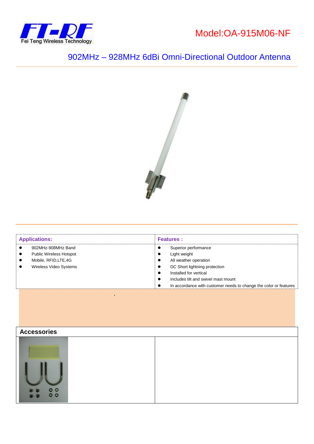



#### 902MHz – 928MHz 6dBi Omni-Directional Outdoor Antenna



| <b>Applications:</b>           | <b>Features:</b>                                                  |
|--------------------------------|-------------------------------------------------------------------|
| 902MHz-908MHz Band             | Superior performance                                              |
| <b>Public Wireless Hotspot</b> | Light weight                                                      |
| Mobile, RFID, LTE, 4G          | All weather operation                                             |
| Wireless Video Systems         | DC Short lightning protection<br>٠                                |
|                                | Installed for vertical                                            |
|                                | Includes tilt and swivel mast mount                               |
|                                | In accordance with customer needs to change the color or features |

.

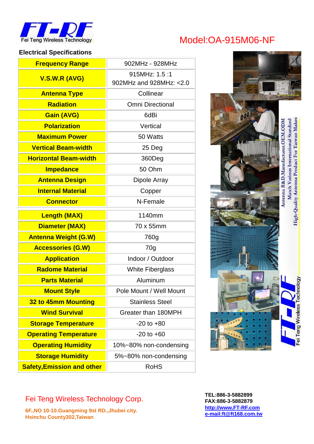

### Model:OA-915M06-NF

#### **Electrical Specifications**

| <b>Frequency Range</b>                 | 902MHz - 928MHz                           |  |
|----------------------------------------|-------------------------------------------|--|
| <b>V.S.W.R (AVG)</b>                   | 915MHz: 1.5:1<br>902MHz and 928MHz: < 2.0 |  |
| <b>Antenna Type</b>                    | Collinear                                 |  |
| <b>Radiation</b>                       | <b>Omni Directional</b>                   |  |
| <b>Gain (AVG)</b>                      | 6dBi                                      |  |
| <b>Polarization</b><br>Vertical        |                                           |  |
| <b>Maximum Power</b>                   | 50 Watts                                  |  |
| <b>Vertical Beam-width</b>             | 25 Deg                                    |  |
| <b>Horizontal Beam-width</b><br>360Deg |                                           |  |
| <b>Impedance</b>                       | 50 Ohm                                    |  |
| <b>Antenna Design</b>                  | Dipole Array                              |  |
| <b>Internal Material</b>               | Copper                                    |  |
| <b>Connector</b>                       | N-Female                                  |  |
| <b>Length (MAX)</b>                    | 1140mm                                    |  |
| <b>Diameter (MAX)</b>                  | 70 x 55mm                                 |  |
| <b>Antenna Weight (G.W)</b>            | 760g                                      |  |
| <b>Accessories (G.W)</b>               | 70g                                       |  |
| <b>Application</b>                     | Indoor / Outdoor                          |  |
| <b>Radome Material</b>                 | <b>White Fiberglass</b>                   |  |
| <b>Parts Material</b>                  | Aluminum                                  |  |
| <b>Mount Style</b>                     | Pole Mount / Well Mount                   |  |
| 32 to 45mm Mounting                    | <b>Stainless Steel</b>                    |  |
| <b>Wind Survival</b>                   | Greater than 180MPH                       |  |
| <b>Storage Temperature</b>             | $-20$ to $+80$                            |  |
| <b>Operating Temperature</b>           | $-20$ to $+60$                            |  |
| <b>Operating Humidity</b>              | 10%~80% non-condensing                    |  |
| <b>Storage Humidity</b>                | 5%~80% non-condensing                     |  |
| <b>Safety, Emission and other</b>      | <b>RoHS</b>                               |  |



#### Fei Teng Wireless Technology Corp.

**6F.,NO 10-10.Guangming 9st RD.,Jhubei city. Hsinchu County302,Taiwan**

**TEL:886-3-5882899 FAX:886-3-5882879 [http://www.FT-RF.com](http://www.ft-rf.com/) [e-mail:ft@ft168.com.tw](mailto:ft@ft168.com.tw)**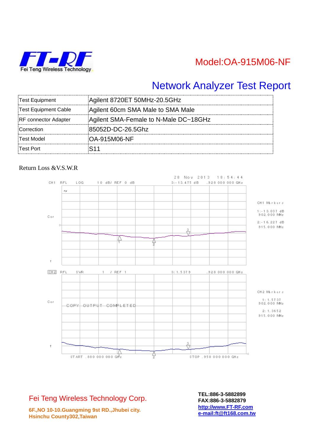

### Model:OA-915M06-NF

## Network Analyzer Test Report

| <b>Test Equipment</b>       | Agilent 8720ET 50MHz-20.5GHz          |
|-----------------------------|---------------------------------------|
| Test Equipment Cable        | Agilent 60cm SMA Male to SMA Male     |
| <b>RF</b> connector Adapter | Agilent SMA-Female to N-Male DC~18GHz |
| Correction                  | 85052D-DC-26.5Ghz                     |
| Test Model                  | IOA-915M06-NF                         |
| Test Port                   |                                       |

#### Return Loss &V.S.W.R



Fei Teng Wireless Technology Corp.

**TEL:886-3-5882899 FAX:886-3-5882879 [http://www.FT-RF.com](http://www.ft-rf.com/) [e-mail:ft@ft168.com.tw](mailto:ft@ft168.com.tw)**

**6F.,NO 10-10.Guangming 9st RD.,Jhubei city. Hsinchu County302,Taiwan**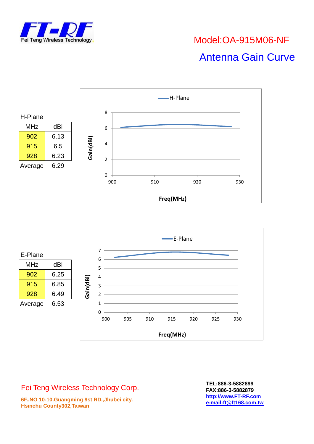

# Model:OA-915M06-NF Antenna Gain Curve



Fei Teng Wireless Technology Corp.

**6F.,NO 10-10.Guangming 9st RD.,Jhubei city. Hsinchu County302,Taiwan**

**TEL:886-3-5882899 FAX:886-3-5882879 [http://www.FT-RF.com](http://www.ft-rf.com/) [e-mail:ft@ft168.com.tw](mailto:ft@ft168.com.tw)**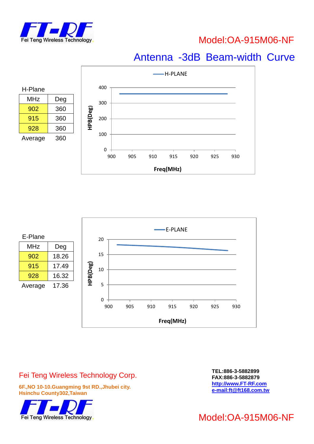

### Model:OA-915M06-NF

### Antenna -3dB Beam-width Curve





#### Fei Teng Wireless Technology Corp.

**6F.,NO 10-10.Guangming 9st RD.,Jhubei city. Hsinchu County302,Taiwan**



**TEL:886-3-5882899 FAX:886-3-5882879 [http://www.FT-RF.com](http://www.ft-rf.com/) [e-mail:ft@ft168.com.tw](mailto:ft@ft168.com.tw)**

#### Model:OA-915M06-NF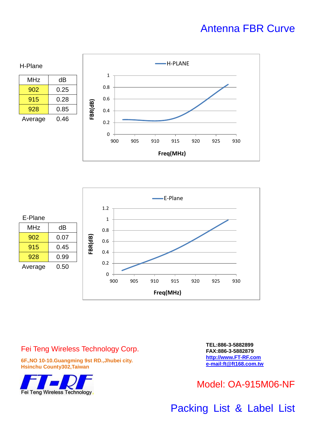### Antenna FBR Curve





#### Fei Teng Wireless Technology Corp.

**6F.,NO 10-10.Guangming 9st RD.,Jhubei city. Hsinchu County302,Taiwan**



**TEL:886-3-5882899 FAX:886-3-5882879 [http://www.FT-RF.com](http://www.ft-rf.com/) [e-mail:ft@ft168.com.tw](mailto:ft@ft168.com.tw)**

#### Model: OA-915M06-NF

Packing List & Label List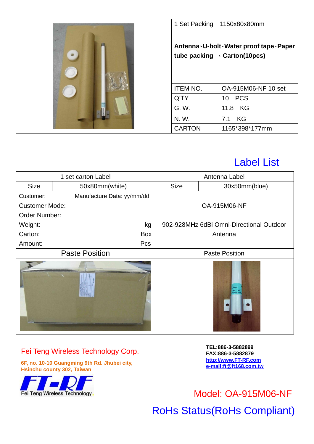| 1 Set Packing   | 1150x80x80mm                                                                |  |
|-----------------|-----------------------------------------------------------------------------|--|
|                 | Antenna - U-bolt - Water proof tape - Paper<br>tube packing . Carton(10pcs) |  |
| <b>ITEM NO.</b> | OA-915M06-NF 10 set                                                         |  |
| Q'TY            | <b>PCS</b><br>10 <sup>°</sup>                                               |  |
| G. W.           | KG<br>11.8                                                                  |  |
| N. W.           | KG<br>7.1                                                                   |  |
| <b>CARTON</b>   | 1165*398*177mm                                                              |  |

## Label List

| 1 set carton Label    |                            | Antenna Label |                                          |
|-----------------------|----------------------------|---------------|------------------------------------------|
| <b>Size</b>           | 50x80mm(white)             | <b>Size</b>   | 30x50mm(blue)                            |
| Customer:             | Manufacture Data: yy/mm/dd |               |                                          |
| <b>Customer Mode:</b> |                            | OA-915M06-NF  |                                          |
| Order Number:         |                            |               |                                          |
| Weight:               | kg                         |               | 902-928MHz 6dBi Omni-Directional Outdoor |
| Carton:               | Box                        |               | Antenna                                  |
| Amount:               | Pcs                        |               |                                          |
|                       | <b>Paste Position</b>      |               | <b>Paste Position</b>                    |
|                       |                            |               |                                          |

#### Fei Teng Wireless Technology Corp.

**6F, no. 10-10 Guangming 9th Rd. Jhubei city, Hsinchu county 302, Taiwan**

**TEL:886-3-5882899 FAX:886-3-5882879 [http://www.FT-RF.com](http://www.ft-rf.com/) [e-mail:ft@ft168.com.tw](mailto:ft@ft168.com.tw)**

 Model: OA-915M06-NF RoHs Status(RoHs Compliant)